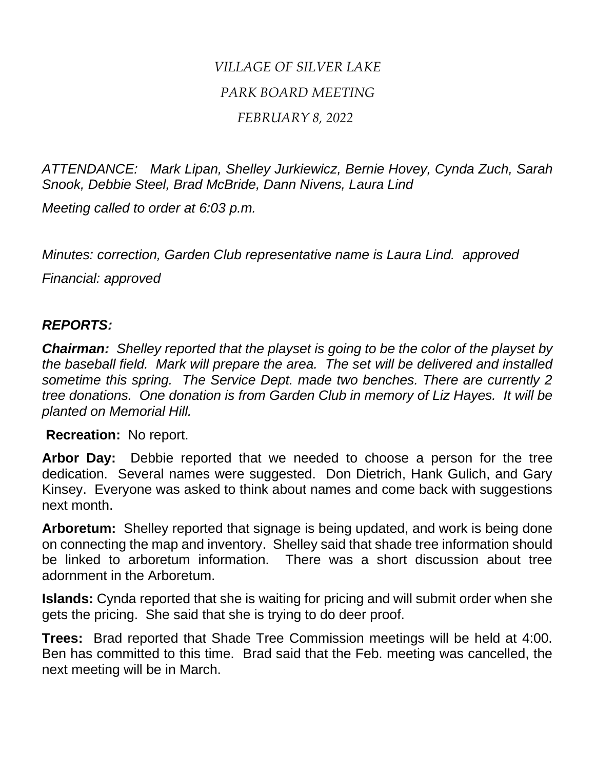## *VILLAGE OF SILVER LAKE PARK BOARD MEETING FEBRUARY 8, 2022*

*ATTENDANCE: Mark Lipan, Shelley Jurkiewicz, Bernie Hovey, Cynda Zuch, Sarah Snook, Debbie Steel, Brad McBride, Dann Nivens, Laura Lind*

*Meeting called to order at 6:03 p.m.*

*Minutes: correction, Garden Club representative name is Laura Lind. approved*

*Financial: approved*

## *REPORTS:*

*Chairman: Shelley reported that the playset is going to be the color of the playset by the baseball field. Mark will prepare the area. The set will be delivered and installed sometime this spring. The Service Dept. made two benches. There are currently 2 tree donations. One donation is from Garden Club in memory of Liz Hayes. It will be planted on Memorial Hill.*

**Recreation:** No report.

**Arbor Day:** Debbie reported that we needed to choose a person for the tree dedication. Several names were suggested. Don Dietrich, Hank Gulich, and Gary Kinsey. Everyone was asked to think about names and come back with suggestions next month.

**Arboretum:** Shelley reported that signage is being updated, and work is being done on connecting the map and inventory. Shelley said that shade tree information should be linked to arboretum information. There was a short discussion about tree adornment in the Arboretum.

**Islands:** Cynda reported that she is waiting for pricing and will submit order when she gets the pricing. She said that she is trying to do deer proof.

**Trees:** Brad reported that Shade Tree Commission meetings will be held at 4:00. Ben has committed to this time. Brad said that the Feb. meeting was cancelled, the next meeting will be in March.